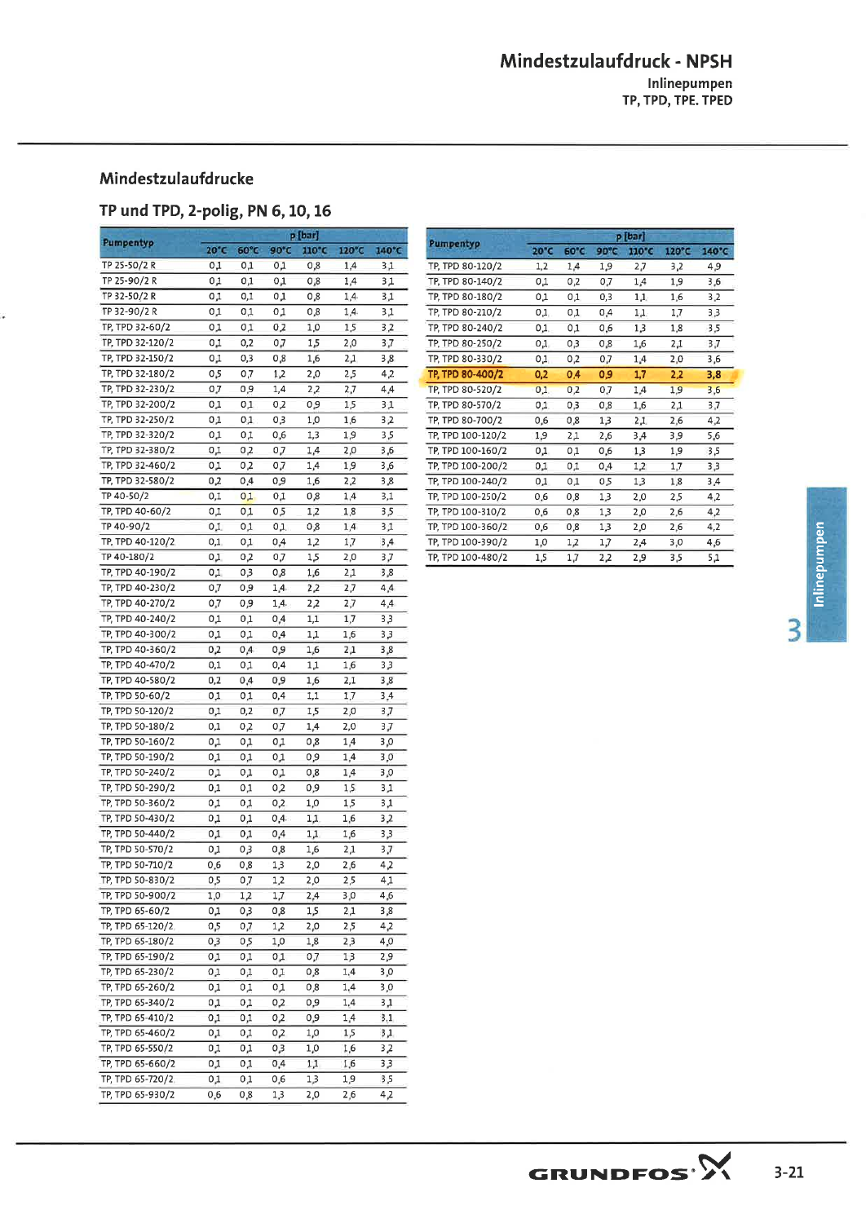## Mindestzulaufdruck - NPSH Inlinepumpen<br>TP, TPD, TPE. TPED

## Mindestzulaufdrucke

## TP und TPD, 2-polig, PN 6, 10, 16

| Pumpentyp        |                |          |            | p [bar] |       |       |
|------------------|----------------|----------|------------|---------|-------|-------|
|                  | $20^{\circ}$ C | 60°C     | 90°C       | 110°C   | 120°C | 140°C |
| TP 25-50/2 R     | 0,1            | 0,1      | 0,1        | 0,8     | 1,4   | 3,1   |
| TP 25-90/2 R     | 0,1            | 0,1      | 0,1        | 0,8     | 1,4   | 3,1   |
| TP 32-50/2 R     | 0,1            | $_{0,1}$ | 0,1        | 0,8     | 1,4   | 3,1   |
| TP 32-90/2 R     | 0,1            | 0,1      | 0,1        | 0,8     | 1,4   | 3,1   |
| TP, TPD 32-60/2  | 0,1            | 0,1      | 0,2        | 1,0     | 1,5   | 3,2   |
| TP, TPD 32-120/2 | 0,1            | 0,2      | 0,7        | 1,5     | 2,0   | 3,7   |
| TP, TPD 32-150/2 | 0,1            | 0,3      | 0,8        | 1,6     | 2,1   | 3,8   |
| TP, TPD 32-180/2 | 0,5            | 0,7      | 1,2        | 2,0     | 2,5   | 4,2   |
| TP, TPD 32-230/2 | 0,7            | 0,9      | 1,4        | 2,2     | 2,7   | 4,4   |
| TP, TPD 32-200/2 | 0,1            | 0,1      | 0,2        | 0,9     | 1,5   | 3,1   |
| TP, TPD 32-250/2 | 0,1            | 0,1      | 0,3        | 1,0     | 1,6   | 3,2   |
| TP, TPD 32-320/2 | 0,1            | 0,1      | 0,6        | 1,3     | 1,9   | 3,5   |
| TP, TPD 32-380/2 | 0,1            | 0,2      | 0,7        | 1,4     | 2,0   | 3,6   |
| TP, TPD 32-460/2 | 0,1            | 0,2      | 0,7        | 1,4     | 1,9   | 3,6   |
| TP, TPD 32-580/2 | 0,2            | 0,4      | 0,9        | 1,6     | 2,2   | 3,8   |
| TP 40-50/2       | 0,1            | 0,1      | 0,1        | 0,8     | 1,4   | 3,1   |
| TP, TPD 40-60/2  | 0,1            | 0,1      | 0,5        | 1,2     | 1,8   | 3,5   |
| TP 40-90/2       | 0,1            | 0,1      | 0,1        | 0,8     | 1,4   | 3,1   |
| TP, TPD 40-120/2 | $_{0,1}$       | 0,1      | 0,4        | 1,2     | 1,7   | 3,4   |
| TP 40-180/2      | 0,1            | 0,2      | 0,7        | 1,5     | 2,0   | 3,7   |
| TP, TPD 40-190/2 | 0,1            | 0,3      | 0,8        | 1,6     | 2,1   | 3,8   |
| TP, TPD 40-230/2 | 0,7            | 0,9      | 1,4        | 2,2     | 2,7   | 4,4   |
| TP, TPD 40-270/2 | 0,7            | 0,9      | 1,4        | 2,2     | 2,7   | 4,4   |
| TP, TPD 40-240/2 | 0,1            | 0,1      | 0,4        | 1,1     | 1,7   | 3,3   |
| TP, TPD 40-300/2 | 0,1            | 0,1      | 0,4        | 1,1     | 1,6   | 3,3   |
| TP, TPD 40-360/2 | 0,2            | 0,4      | 0,9        | 1,6     | 2,1   | 3,8   |
| TP, TPD 40-470/2 | 0,1            | 0,1      | 0,4        | 1,1     | 1,6   | 3,3   |
| TP, TPD 40-580/2 | 0,2            | 0,4      | 0,9        | 1,6     | 2,1   | 3,8   |
| TP, TPD 50-60/2  | 0,1            | 0,1      | 0,4        | 1,1     | 1,7   | 3,4   |
| TP, TPD 50-120/2 | 0,1            | 0,2      | 0,7        | 1,5     | 2,0   | 3,7   |
| TP, TPD 50-180/2 | 0,1            | 0,2      | 0,7        | 1,4     | 2,0   | 3,7   |
| TP, TPD 50-160/2 | 0,1            | 0,1      | 0,1        | 0,8     | 1,4   | 3,0   |
| TP, TPD 50-190/2 | 0,1            | 0,1      | 0,1        | 0,9     | 1,4   | 3,0   |
| TP, TPD 50-240/2 | 0,1            | 0,1      | 0,1        | 0,8     | 1,4   | 3,0   |
| TP, TPD 50-290/2 | 0,1            | 0,1      | 0,2        | 0,9     | 1,5   | 3,1   |
| TP, TPD 50-360/2 | 0,1            | 0,1      | 0,2        | 1,0     | 1,5   | 3,1   |
| TP, TPD 50-430/2 | 0,1            | 0,1      | 0,4        | 1,1     | 1,6   | 3,2   |
| TP, TPD 50-440/2 | 0,1            | 0,1      | 0,4        | 1,1     | 1,6   | 3,3   |
| TP, TPD 50-570/2 | 0,1            | 0,3      | 0,8        | 1,6     | 2,1   | 3,7   |
| TP, TPD 50-710/2 | 0,6            | 0,8      | 1,3        | 2,0     | 2,6   | 4,2   |
| TP, TPD 50-830/2 | 0,5            | 0,7      | 1,2        | 2,0     | 2,5   | 4,1   |
| TP, TPD 50-900/2 | 1,0            | 1,2      | 1,7        | 2,4     | 3,0   | 4,6   |
| TP, TPD 65-60/2  | 0,1            | 0,3      | 0,8        | 1,5     | 2,1   | 3,8   |
| TP, TPD 65-120/2 | 0,5            | 0,7      | 1,2        | 2,0     | 2,5   | 4,2   |
| TP, TPD 65-180/2 | 0,3            | 0,5      | 1,0        | 1,8     | 2,3   | 4,0   |
| TP, TPD 65-190/2 | 0,1            | 0,1      | 0,1        | 0,7     | 1,3   | 2,9   |
| TP, TPD 65-230/2 | 0,1            | 0,1      | 0,1        | 0,8     | 1,4   | 3,0   |
| TP, TPD 65-260/2 | 0,1            | 0,1      | $_{0,1}$   | 0,8     | 1,4   | 3,0   |
| TP, TPD 65-340/2 | 0,1            | 0,1      | 0,2        | 0,9     | 1,4   | 3,1   |
| TP, TPD 65-410/2 | 0,1            | 0,1      | $O_{\mu}2$ | 0,9     | 1,4   | 3,1   |
| TP, TPD 65-460/2 | 0,1            | 0,1      | 0,2        | 1,0     | 1,5   | 3,1   |
| TP, TPD 65-550/2 | 0,1            | $_{0,1}$ | 0,3        | 1,0     | 1,6   | 3,2   |
| TP, TPD 65-660/2 | 0,1            | 0,1      | 0,4        | 1,1     | 1,6   | 3,3   |
| TP, TPD 65-720/2 | 0,1            | 0,1      | 0,6        | 1,3     | 1,9   | 3,5   |
| TP, TPD 65-930/2 | 0,6            | 0,8      | 1,3        | 2,0     | 2,6   | 4,2   |

|                   |      | p [bar] |                |       |       |       |  |  |  |  |  |
|-------------------|------|---------|----------------|-------|-------|-------|--|--|--|--|--|
| Pumpentyp         | 20°C | 60°C    | $90^{\circ}$ C | 110°C | 120°C | 140°C |  |  |  |  |  |
| TP, TPD 80-120/2  | 1,2  | 1.4     | 1.9            | 2.7   | 3,2   | 4,9   |  |  |  |  |  |
| TP, TPD 80-140/2  | 0,1  | 0,2     | 0,7            | 1,4   | 1,9   | 3,6   |  |  |  |  |  |
| TP, TPD 80-180/2  | 0,1  | 0,1     | 0,3            | 1,1   | 1,6   | 3,2   |  |  |  |  |  |
| TP. TPD 80-210/2  | 0,1  | 0,1     | 0,4            | 1, 1. | 1,7   | 3,3   |  |  |  |  |  |
| TP, TPD 80-240/2  | 0,1  | 0,1     | 0,6            | 1,3   | 1,8   | 3,5   |  |  |  |  |  |
| TP, TPD 80-250/2  | 0,1  | 0,3     | 0,8            | 1,6   | 2,1   | 3,7   |  |  |  |  |  |
| TP, TPD 80-330/2  | 0,1  | 0,2     | 0,7            | 1,4   | 2,0   | 3,6   |  |  |  |  |  |
| TP, TPD 80-400/2  | 0.2  | 0.4     | 0.9            | 1,7   | 2,2   | 3,8   |  |  |  |  |  |
| TP, TPD 80-520/2  | 0,1  | 0,2     | 0.7            | 1,4   | 1,9   | 3,6   |  |  |  |  |  |
| TP, TPD 80-570/2  | 0,1  | 0,3     | 0,8            | 1,6   | 2,1   | 3,7   |  |  |  |  |  |
| TP, TPD 80-700/2  | 0,6  | 0,8     | 1,3            | 2,1   | 2,6   | 4, 2  |  |  |  |  |  |
| TP, TPD 100-120/2 | 1,9  | 2.1     | 2,6            | 3,4   | 3,9   | 5,6   |  |  |  |  |  |
| TP, TPD 100-160/2 | 0,1  | 0,1     | 0,6            | 1,3   | 1,9   | 3,5   |  |  |  |  |  |
| TP, TPD 100-200/2 | 0.1  | 0,1     | 0,4            | 1, 2  | 1,7   | 3,3   |  |  |  |  |  |
| TP, TPD 100-240/2 | 0,1  | 0,1     | 0,5            | 1,3   | 1,8   | 3,4   |  |  |  |  |  |
| TP. TPD 100-250/2 | 0,6  | 0,8     | 1,3            | 2,0   | 2,5   | 4,2   |  |  |  |  |  |
| TP, TPD 100-310/2 | 0,6  | 0,8     | 1,3            | 2,0   | 2,6   | 4,2   |  |  |  |  |  |
| TP, TPD 100-360/2 | 0,6  | 0, 8    | 1,3            | 2,0   | 2,6   | 4,2   |  |  |  |  |  |
| TP, TPD 100-390/2 | 1,0  | 1,2     | 1,7            | 2,4   | 3,0   | 4,6   |  |  |  |  |  |
| TP, TPD 100-480/2 | 1,5  | 1,7     | 2,2            | 2,9   | 3,5   | 5,1   |  |  |  |  |  |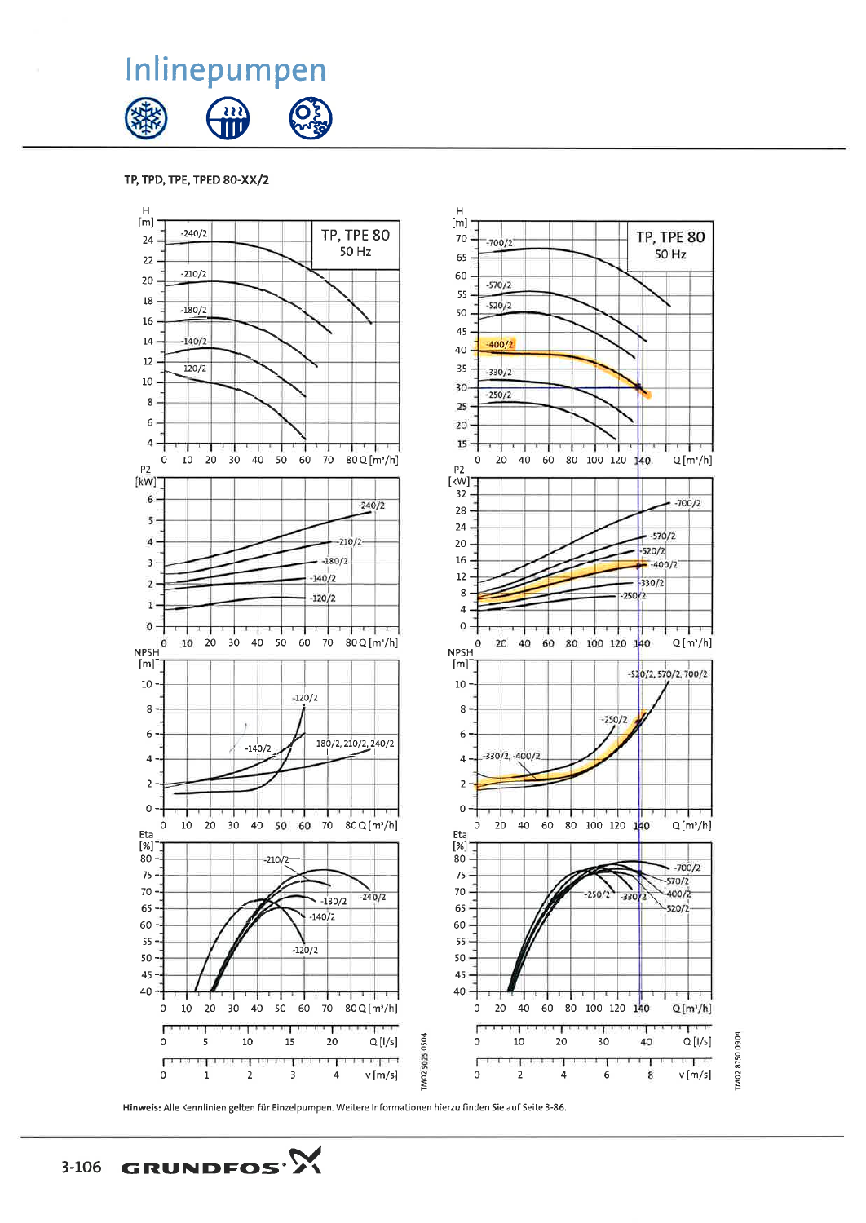GRUNDFOS<sup>.</sup>  $3-106$ 

Inlinepumpen

TP, TPD, TPE, TPED 80-XX/2

 $-240/2$ 

 $-210/2$ 

 $-180/2$ 

 $140/2$ 

 $-120/2$ 

 $H$ 

 $[m]$ 

24

 $22$ 

20

18

16

 $14<sub>1</sub>$ 

 $12 -$ 

 $10\,$ 

 $8 -$ 

 $\boldsymbol{6}$ 



 $\mathsf{H}$ 

 $[m]$ 

70

65

60

55

50

45

40

35

30

25

20

 $-700/2$ 

 $-570/2$ 

 $-520/2$ 

 $-400/2$ 

 $-330/2$ 

 $-250/2$ 

**TP, TPE 80** 

50 Hz

**TP, TPE 80** 

50 Hz

Hinweis: Alle Kennlinien gelten für Einzelpumpen. Weitere Informationen hierzu finden Sie auf Seite 3-86.

TM0287500904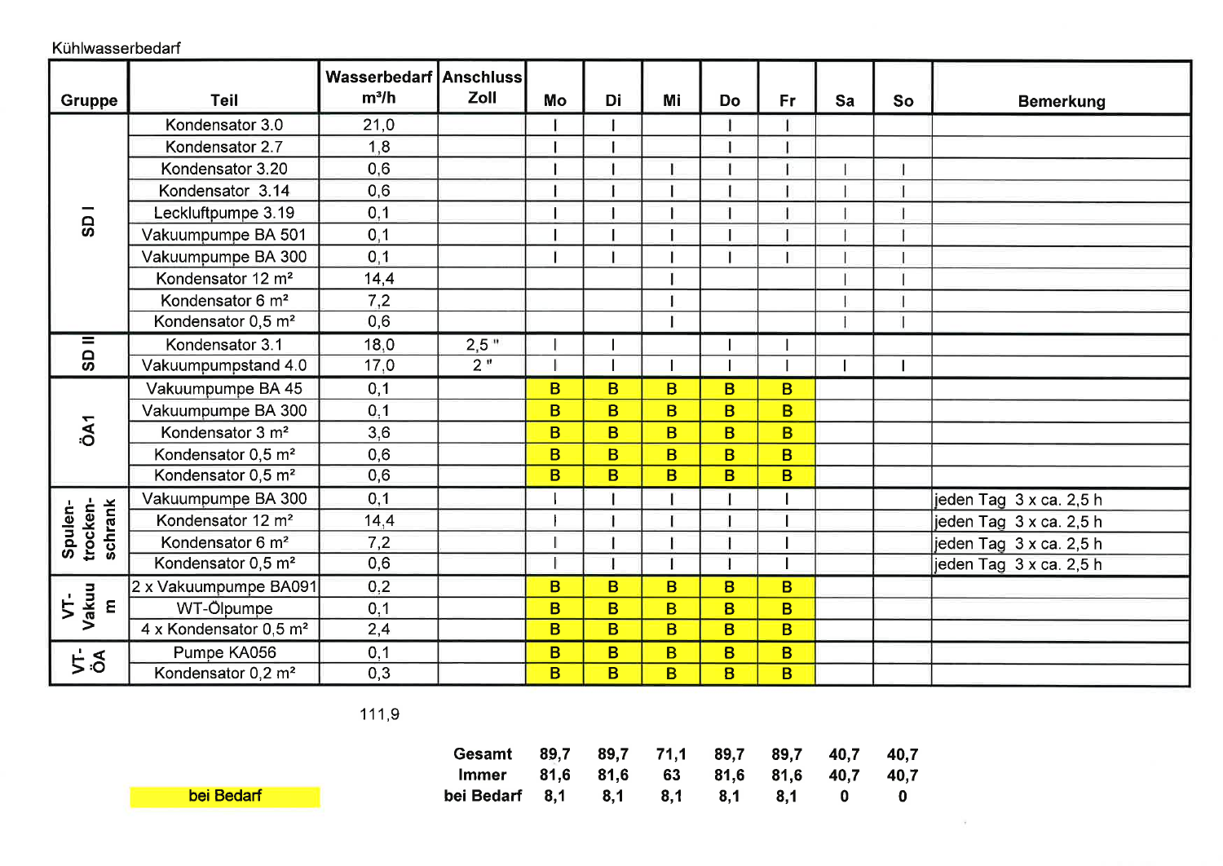Kühlwasserbedarf

| <b>Gruppe</b>                                   | <b>Teil</b>                    | <b>Wasserbedarf Anschluss</b><br>$m^3/h$ | Zoll | Mo | Di       | Mi           | <b>Do</b>      | Fr. | Sa | So |                         |
|-------------------------------------------------|--------------------------------|------------------------------------------|------|----|----------|--------------|----------------|-----|----|----|-------------------------|
|                                                 |                                |                                          |      |    |          |              |                |     |    |    | <b>Bemerkung</b>        |
| <b>GS</b>                                       | Kondensator 3.0                | 21,0                                     |      |    |          |              |                |     |    |    |                         |
|                                                 | Kondensator 2.7                | 1,8                                      |      |    |          |              |                |     |    |    |                         |
|                                                 | Kondensator 3.20               | 0,6                                      |      |    |          |              |                |     |    |    |                         |
|                                                 | Kondensator 3.14               | 0,6                                      |      |    |          |              |                |     |    |    |                         |
|                                                 | Leckluftpumpe 3.19             | 0,1                                      |      |    |          |              |                |     |    |    |                         |
|                                                 | Vakuumpumpe BA 501             | 0, 1                                     |      |    |          |              |                |     |    |    |                         |
|                                                 | Vakuumpumpe BA 300             | 0, 1                                     |      |    |          |              |                |     |    |    |                         |
|                                                 | Kondensator 12 m <sup>2</sup>  | 14,4                                     |      |    |          |              |                |     |    |    |                         |
|                                                 | Kondensator 6 m <sup>2</sup>   | 7,2                                      |      |    |          |              |                |     |    |    |                         |
|                                                 | Kondensator 0,5 m <sup>2</sup> | 0,6                                      |      |    |          |              |                |     |    |    |                         |
| $\overline{\mathsf{SD}}$                        | Kondensator 3.1                | 18,0                                     | 2,5" |    |          |              |                |     |    |    |                         |
|                                                 | Vakuumpumpstand 4.0            | 17,0                                     | 2"   |    |          |              |                |     |    |    |                         |
|                                                 | Vakuumpumpe BA 45              | 0,1                                      |      | B  | B        | <sub>B</sub> | B              | B   |    |    |                         |
|                                                 | Vakuumpumpe BA 300             | 0, 1                                     |      | B  | B        | <b>B</b>     | B              | B   |    |    |                         |
| ÖA1                                             | Kondensator 3 m <sup>2</sup>   | 3,6                                      |      | B  | B.       | <sub>B</sub> | B              | B   |    |    |                         |
|                                                 | Kondensator 0,5 m <sup>2</sup> | 0,6                                      |      | B  | B.       | <b>B</b>     | B              | B   |    |    |                         |
|                                                 | Kondensator 0,5 m <sup>2</sup> | 0,6                                      |      | B  | <b>B</b> | B            | B              | B   |    |    |                         |
|                                                 | Vakuumpumpe BA 300             | 0,1                                      |      |    |          |              |                |     |    |    | jeden Tag 3 x ca. 2,5 h |
| trocken-<br>schrank<br>Spulen-                  | Kondensator 12 m <sup>2</sup>  | 14,4                                     |      |    |          |              |                |     |    |    | jeden Tag 3 x ca. 2,5 h |
|                                                 | Kondensator 6 m <sup>2</sup>   | 7,2                                      |      |    |          |              |                |     |    |    | jeden Tag 3 x ca. 2,5 h |
|                                                 | Kondensator 0,5 m <sup>2</sup> | 0,6                                      |      |    |          |              |                |     |    |    | jeden Tag 3 x ca. 2,5 h |
|                                                 | 2 x Vakuumpumpe BA091          | 0,2                                      |      | B  | B        | B            | B              | B   |    |    |                         |
| Vakuu<br>$\overline{\mathsf{S}}$<br>$\pmb{\Xi}$ | WT-Ölpumpe                     | 0,1                                      |      | B  | <b>B</b> | B.           | B              | B   |    |    |                         |
|                                                 | 4 x Kondensator 0,5 $m^2$      | 2,4                                      |      | B  | B.       | <sub>B</sub> | $\overline{B}$ | B   |    |    |                         |
| 5.5                                             | Pumpe KA056                    | 0,1                                      |      | B  | B        | B            | B              | B   |    |    |                         |
|                                                 | Kondensator 0,2 m <sup>2</sup> | 0,3                                      |      | B  | B        | B            | B              | B   |    |    |                         |

111,9



| Gesamt 89,7 89,7 71,1 89,7 89,7 40,7 40,7 |  |  |  |  |
|-------------------------------------------|--|--|--|--|
| Immer 81,6 81,6 63 81,6 81,6 40,7 40,7    |  |  |  |  |
|                                           |  |  |  |  |

 $\sim$